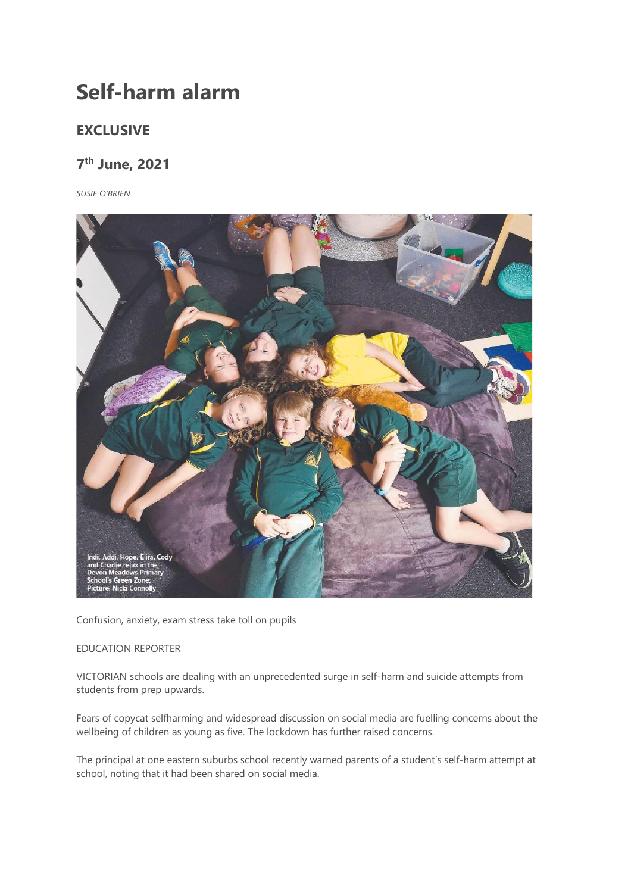## **Self-harm alarm**

## **EXCLUSIVE**

## **7 th June, 2021**

*SUSIE O'BRIEN*



Confusion, anxiety, exam stress take toll on pupils

## EDUCATION REPORTER

VICTORIAN schools are dealing with an unprecedented surge in self-harm and suicide attempts from students from prep upwards.

Fears of copycat selfharming and widespread discussion on social media are fuelling concerns about the wellbeing of children as young as five. The lockdown has further raised concerns.

The principal at one eastern suburbs school recently warned parents of a student's self-harm attempt at school, noting that it had been shared on social media.